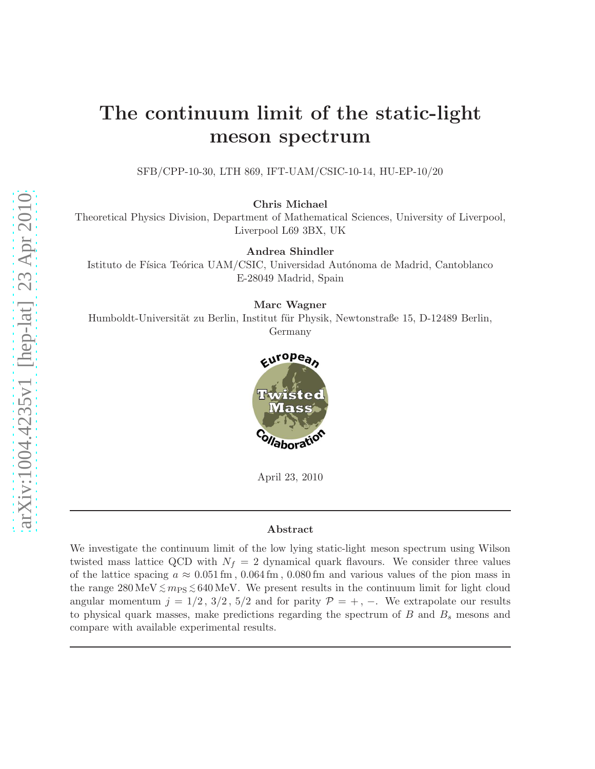# The continuum limit of the static-light meson spectrum

SFB/CPP-10-30, LTH 869, IFT-UAM/CSIC-10-14, HU-EP-10/20

Chris Michael

Theoretical Physics Division, Department of Mathematical Sciences, University of Liverpool, Liverpool L69 3BX, UK

Andrea Shindler

Istituto de Física Teórica UAM/CSIC, Universidad Autónoma de Madrid, Cantoblanco E-28049 Madrid, Spain

Marc Wagner

Humboldt-Universität zu Berlin, Institut für Physik, Newtonstraße 15, D-12489 Berlin, Germany



April 23, 2010

#### Abstract

We investigate the continuum limit of the low lying static-light meson spectrum using Wilson twisted mass lattice QCD with  $N_f = 2$  dynamical quark flavours. We consider three values of the lattice spacing  $a \approx 0.051 \,\mathrm{fm}$ ,  $0.064 \,\mathrm{fm}$ ,  $0.080 \,\mathrm{fm}$  and various values of the pion mass in the range  $280 \,\text{MeV} \lesssim m_{\text{PS}} \lesssim 640 \,\text{MeV}$ . We present results in the continuum limit for light cloud angular momentum  $j = 1/2, 3/2, 5/2$  and for parity  $\mathcal{P} = +, -$ . We extrapolate our results to physical quark masses, make predictions regarding the spectrum of  $B$  and  $B<sub>s</sub>$  mesons and compare with available experimental results.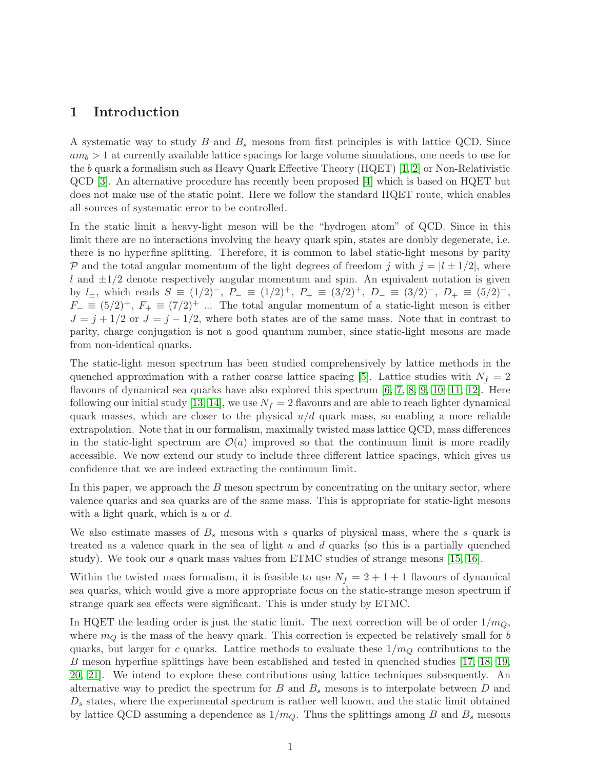### 1 Introduction

A systematic way to study  $B$  and  $B<sub>s</sub>$  mesons from first principles is with lattice QCD. Since  $am_b > 1$  at currently available lattice spacings for large volume simulations, one needs to use for the b quark a formalism such as Heavy Quark Effective Theory (HQET) [\[1,](#page-15-0) [2\]](#page-15-1) or Non-Relativistic QCD [\[3\]](#page-15-2). An alternative procedure has recently been proposed [\[4\]](#page-15-3) which is based on HQET but does not make use of the static point. Here we follow the standard HQET route, which enables all sources of systematic error to be controlled.

In the static limit a heavy-light meson will be the "hydrogen atom" of QCD. Since in this limit there are no interactions involving the heavy quark spin, states are doubly degenerate, i.e. there is no hyperfine splitting. Therefore, it is common to label static-light mesons by parity P and the total angular momentum of the light degrees of freedom j with  $j = |l \pm 1/2|$ , where l and  $\pm 1/2$  denote respectively angular momentum and spin. An equivalent notation is given by  $l_{\pm}$ , which reads  $S \equiv (1/2)^{-}$ ,  $P_{-} \equiv (1/2)^{+}$ ,  $P_{+} \equiv (3/2)^{+}$ ,  $D_{-} \equiv (3/2)^{-}$ ,  $D_{+} \equiv (5/2)^{-}$ ,  $F_-\equiv (5/2)^+$ ,  $F_+\equiv (7/2)^+$  ... The total angular momentum of a static-light meson is either  $J = j + 1/2$  or  $J = j - 1/2$ , where both states are of the same mass. Note that in contrast to parity, charge conjugation is not a good quantum number, since static-light mesons are made from non-identical quarks.

The static-light meson spectrum has been studied comprehensively by lattice methods in the quenched approximation with a rather coarse lattice spacing [\[5\]](#page-15-4). Lattice studies with  $N_f = 2$ flavours of dynamical sea quarks have also explored this spectrum [\[6,](#page-16-0) [7,](#page-16-1) [8,](#page-16-2) [9,](#page-16-3) [10,](#page-16-4) [11,](#page-16-5) [12\]](#page-16-6). Here following our initial study [\[13,](#page-16-7) [14\]](#page-16-8), we use  $N_f = 2$  flavours and are able to reach lighter dynamical quark masses, which are closer to the physical  $u/d$  quark mass, so enabling a more reliable extrapolation. Note that in our formalism, maximally twisted mass lattice QCD, mass differences in the static-light spectrum are  $\mathcal{O}(a)$  improved so that the continuum limit is more readily accessible. We now extend our study to include three different lattice spacings, which gives us confidence that we are indeed extracting the continuum limit.

In this paper, we approach the  $B$  meson spectrum by concentrating on the unitary sector, where valence quarks and sea quarks are of the same mass. This is appropriate for static-light mesons with a light quark, which is  $u$  or  $d$ .

We also estimate masses of  $B_s$  mesons with s quarks of physical mass, where the s quark is treated as a valence quark in the sea of light  $u$  and  $d$  quarks (so this is a partially quenched study). We took our s quark mass values from ETMC studies of strange mesons [\[15,](#page-16-9) [16\]](#page-16-10).

Within the twisted mass formalism, it is feasible to use  $N_f = 2 + 1 + 1$  flavours of dynamical sea quarks, which would give a more appropriate focus on the static-strange meson spectrum if strange quark sea effects were significant. This is under study by ETMC.

In HQET the leading order is just the static limit. The next correction will be of order  $1/m_Q$ , where  $m_Q$  is the mass of the heavy quark. This correction is expected be relatively small for b quarks, but larger for c quarks. Lattice methods to evaluate these  $1/m_Q$  contributions to the B meson hyperfine splittings have been established and tested in quenched studies [\[17,](#page-16-11) [18,](#page-16-12) [19,](#page-16-13) [20,](#page-16-14) [21\]](#page-17-0). We intend to explore these contributions using lattice techniques subsequently. An alternative way to predict the spectrum for  $B$  and  $B_s$  mesons is to interpolate between  $D$  and  $D<sub>s</sub>$  states, where the experimental spectrum is rather well known, and the static limit obtained by lattice QCD assuming a dependence as  $1/m_Q$ . Thus the splittings among B and  $B_s$  mesons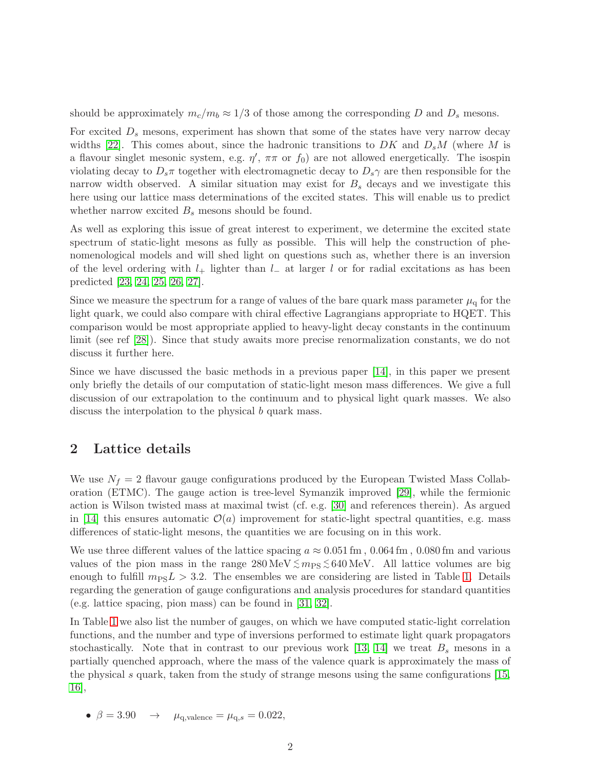should be approximately  $m_c/m_b \approx 1/3$  of those among the corresponding D and  $D_s$  mesons.

For excited  $D<sub>s</sub>$  mesons, experiment has shown that some of the states have very narrow decay widths [\[22\]](#page-17-1). This comes about, since the hadronic transitions to DK and  $D_sM$  (where M is a flavour singlet mesonic system, e.g.  $\eta'$ ,  $\pi\pi$  or  $f_0$ ) are not allowed energetically. The isospin violating decay to  $D_s\pi$  together with electromagnetic decay to  $D_s\gamma$  are then responsible for the narrow width observed. A similar situation may exist for  $B<sub>s</sub>$  decays and we investigate this here using our lattice mass determinations of the excited states. This will enable us to predict whether narrow excited  $B_s$  mesons should be found.

As well as exploring this issue of great interest to experiment, we determine the excited state spectrum of static-light mesons as fully as possible. This will help the construction of phenomenological models and will shed light on questions such as, whether there is an inversion of the level ordering with  $l_+$  lighter than  $l_-\$  at larger l or for radial excitations as has been predicted [\[23,](#page-17-2) [24,](#page-17-3) [25,](#page-17-4) [26,](#page-17-5) [27\]](#page-17-6).

Since we measure the spectrum for a range of values of the bare quark mass parameter  $\mu_q$  for the light quark, we could also compare with chiral effective Lagrangians appropriate to HQET. This comparison would be most appropriate applied to heavy-light decay constants in the continuum limit (see ref [\[28\]](#page-17-7)). Since that study awaits more precise renormalization constants, we do not discuss it further here.

Since we have discussed the basic methods in a previous paper [\[14\]](#page-16-8), in this paper we present only briefly the details of our computation of static-light meson mass differences. We give a full discussion of our extrapolation to the continuum and to physical light quark masses. We also discuss the interpolation to the physical b quark mass.

### 2 Lattice details

We use  $N_f = 2$  flavour gauge configurations produced by the European Twisted Mass Collaboration (ETMC). The gauge action is tree-level Symanzik improved [\[29\]](#page-17-8), while the fermionic action is Wilson twisted mass at maximal twist (cf. e.g. [\[30\]](#page-17-9) and references therein). As argued in [\[14\]](#page-16-8) this ensures automatic  $\mathcal{O}(a)$  improvement for static-light spectral quantities, e.g. mass differences of static-light mesons, the quantities we are focusing on in this work.

We use three different values of the lattice spacing  $a \approx 0.051 \,\text{fm}$ ,  $0.064 \,\text{fm}$ ,  $0.080 \,\text{fm}$  and various values of the pion mass in the range  $280 \,\text{MeV} \lesssim m_{\text{PS}} \lesssim 640 \,\text{MeV}$ . All lattice volumes are big enough to fulfill  $m_{\text{PS}}L > 3.2$ . The ensembles we are considering are listed in Table [1.](#page-3-0) Details regarding the generation of gauge configurations and analysis procedures for standard quantities (e.g. lattice spacing, pion mass) can be found in [\[31,](#page-17-10) [32\]](#page-17-11).

In Table [1](#page-3-0) we also list the number of gauges, on which we have computed static-light correlation functions, and the number and type of inversions performed to estimate light quark propagators stochastically. Note that in contrast to our previous work [\[13,](#page-16-7) [14\]](#page-16-8) we treat  $B_s$  mesons in a partially quenched approach, where the mass of the valence quark is approximately the mass of the physical s quark, taken from the study of strange mesons using the same configurations  $[15,$ [16\]](#page-16-10),

•  $\beta = 3.90 \rightarrow \mu_{\text{q},\text{valence}} = \mu_{\text{q},s} = 0.022,$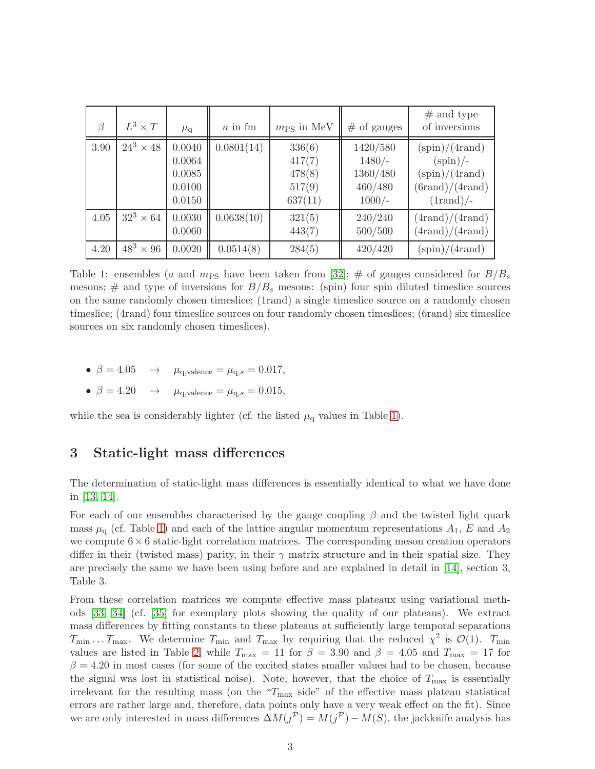| $\beta$ | $L^3 \times T$   | $\mu_{\rm q}$                                  | $a$ in fm  | $m_{PS}$ in MeV                                 | $#$ of gauges                                           | $#$ and type<br>of inversions                                                                                                                        |
|---------|------------------|------------------------------------------------|------------|-------------------------------------------------|---------------------------------------------------------|------------------------------------------------------------------------------------------------------------------------------------------------------|
| 3.90    | $24^3\times 48$  | 0.0040<br>0.0064<br>0.0085<br>0.0100<br>0.0150 | 0.0801(14) | 336(6)<br>417(7)<br>478(8)<br>517(9)<br>637(11) | 1420/580<br>$1480/-$<br>1360/480<br>460/480<br>$1000/-$ | $(\text{spin})/(4 \text{rand})$<br>$(\text{spin})$ /-<br>$(\text{spin})/(4 \text{rand})$<br>$(\text{brand})/(4 \text{rand})$<br>$(1 \text{rand})$ /- |
| 4.05    | $32^3 \times 64$ | 0.0030<br>0.0060                               | 0.0638(10) | 321(5)<br>443(7)                                | 240/240<br>500/500                                      | $(4 \text{rand})/(4 \text{rand})$<br>$(4 \text{rand})/(4 \text{rand})$                                                                               |
| 4.20    | $48^3 \times 96$ | 0.0020                                         | 0.0514(8)  | 284(5)                                          | 420/420                                                 | $(\text{spin})/(4 \text{rand})$                                                                                                                      |

<span id="page-3-0"></span>Table 1: ensembles (a and  $m_{PS}$  have been taken from [\[32\]](#page-17-11); # of gauges considered for  $B/B_s$ mesons;  $\#$  and type of inversions for  $B/B_s$  mesons: (spin) four spin diluted timeslice sources on the same randomly chosen timeslice; (1rand) a single timeslice source on a randomly chosen timeslice; (4rand) four timeslice sources on four randomly chosen timeslices; (6rand) six timeslice sources on six randomly chosen timeslices).

- $\beta = 4.05 \rightarrow \mu_{q,\text{valence}} = \mu_{q,s} = 0.017,$
- $\beta = 4.20$   $\rightarrow$   $\mu_{\text{q},\text{valence}} = \mu_{\text{q},s} = 0.015$ ,

<span id="page-3-1"></span>while the sea is considerably lighter (cf. the listed  $\mu_q$  values in Table [1\)](#page-3-0).

### 3 Static-light mass differences

The determination of static-light mass differences is essentially identical to what we have done in [\[13,](#page-16-7) [14\]](#page-16-8).

For each of our ensembles characterised by the gauge coupling  $\beta$  and the twisted light quark mass  $\mu_q$  (cf. Table [1\)](#page-3-0) and each of the lattice angular momentum representations  $A_1$ , E and  $A_2$ we compute  $6\times 6$  static-light correlation matrices. The corresponding meson creation operators differ in their (twisted mass) parity, in their  $\gamma$  matrix structure and in their spatial size. They are precisely the same we have been using before and are explained in detail in [\[14\]](#page-16-8), section 3, Table 3.

From these correlation matrices we compute effective mass plateaux using variational methods [\[33,](#page-17-12) [34\]](#page-17-13) (cf. [\[35\]](#page-17-14) for exemplary plots showing the quality of our plateaus). We extract mass differences by fitting constants to these plateaus at sufficiently large temporal separations  $T_{\min} \ldots T_{\max}$ . We determine  $T_{\min}$  and  $T_{\max}$  by requiring that the reduced  $\chi^2$  is  $\mathcal{O}(1)$ .  $T_{\min}$ values are listed in Table [2,](#page-4-0) while  $T_{\text{max}} = 11$  for  $\beta = 3.90$  and  $\beta = 4.05$  and  $T_{\text{max}} = 17$  for  $\beta = 4.20$  in most cases (for some of the excited states smaller values had to be chosen, because the signal was lost in statistical noise). Note, however, that the choice of  $T_{\text{max}}$  is essentially irrelevant for the resulting mass (on the " $T_{\text{max}}$  side" of the effective mass plateau statistical errors are rather large and, therefore, data points only have a very weak effect on the fit). Since we are only interested in mass differences  $\Delta M(j^{\mathcal{P}}) = M(j^{\mathcal{P}}) - M(S)$ , the jackknife analysis has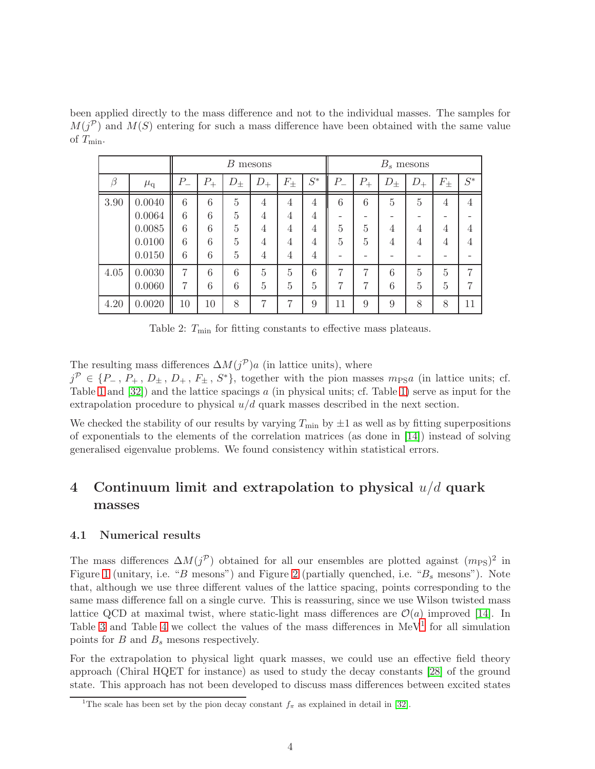been applied directly to the mass difference and not to the individual masses. The samples for  $M(j^{\mathcal{P}})$  and  $M(S)$  entering for such a mass difference have been obtained with the same value of  $T_{\min}$ .

|      |               |                 |         | B         | mesons         |           | $B_s$ mesons   |         |         |           |                |                |          |
|------|---------------|-----------------|---------|-----------|----------------|-----------|----------------|---------|---------|-----------|----------------|----------------|----------|
| B    | $\mu_{\rm q}$ | $P_{-}$         | $P_{+}$ | $D_{\pm}$ | $D_{+}$        | $F_{\pm}$ | $S^\ast$       | $P_{-}$ | $P_{+}$ | $D_{\pm}$ | $D_{+}$        | $F_{\pm}$      | $S^\ast$ |
| 3.90 | 0.0040        | $6\phantom{.}6$ | 6       | 5         | 4              | 4         | 4              | 6       | 6       | 5         | 5              | 4              | 4        |
|      | 0.0064        | 6               | 6       | 5         | 4              | 4         | 4              |         |         |           |                |                |          |
|      | 0.0085        | 6               | 6       | 5         | 4              | 4         | 4              | 5       | 5       | 4         | 4              | 4              |          |
|      | 0.0100        | 6               | 6       | 5         | 4              | 4         | 4              | 5       | 5       | 4         | 4              | 4              |          |
|      | 0.0150        | 6               | 6       | 5         | 4              | 4         | 4              |         |         |           |                |                |          |
| 4.05 | 0.0030        |                 | 6       | 6         | 5              | 5         | 6              | 7       | 7       | 6         | 5              | $\overline{5}$ |          |
|      | 0.0060        | 7               | 6       | 6         | $\overline{5}$ | 5         | $\overline{5}$ | 7       | 7       | 6         | $\overline{5}$ | 5              |          |
| 4.20 | 0.0020        | 10              | 10      | 8         | 7              | 7         | 9              | 11      | 9       | 9         | 8              | 8              | 11       |

<span id="page-4-0"></span>Table 2:  $T_{\text{min}}$  for fitting constants to effective mass plateaus.

The resulting mass differences  $\Delta M(j^{\mathcal{P}})a$  (in lattice units), where

 $j^{\mathcal{P}} \in \{P_-, P_+, D_{\pm}, D_+, F_{\pm}, S^*\},$  together with the pion masses  $m_{\text{PS}}a$  (in lattice units; cf. Table [1](#page-3-0) and  $[32]$ ) and the lattice spacings a (in physical units; cf. Table [1\)](#page-3-0) serve as input for the extrapolation procedure to physical  $u/d$  quark masses described in the next section.

We checked the stability of our results by varying  $T_{\text{min}}$  by  $\pm 1$  as well as by fitting superpositions of exponentials to the elements of the correlation matrices (as done in [\[14\]](#page-16-8)) instead of solving generalised eigenvalue problems. We found consistency within statistical errors.

## 4 Continuum limit and extrapolation to physical  $u/d$  quark masses

#### 4.1 Numerical results

The mass differences  $\Delta M(j^{\mathcal{P}})$  obtained for all our ensembles are plotted against  $(m_{\text{PS}})^2$  in Figure [1](#page-5-0) (unitary, i.e. "B mesons") and Figure [2](#page-6-0) (partially quenched, i.e. " $B_s$  mesons"). Note that, although we use three different values of the lattice spacing, points corresponding to the same mass difference fall on a single curve. This is reassuring, since we use Wilson twisted mass lattice QCD at maximal twist, where static-light mass differences are  $\mathcal{O}(a)$  improved [\[14\]](#page-16-8). In Table [3](#page-7-0) and Table [4](#page-7-1) we collect the values of the mass differences in  $MeV<sup>1</sup>$  $MeV<sup>1</sup>$  $MeV<sup>1</sup>$  for all simulation points for  $B$  and  $B_s$  mesons respectively.

For the extrapolation to physical light quark masses, we could use an effective field theory approach (Chiral HQET for instance) as used to study the decay constants [\[28\]](#page-17-7) of the ground state. This approach has not been developed to discuss mass differences between excited states

<span id="page-4-1"></span><sup>&</sup>lt;sup>1</sup>The scale has been set by the pion decay constant  $f_{\pi}$  as explained in detail in [\[32\]](#page-17-11).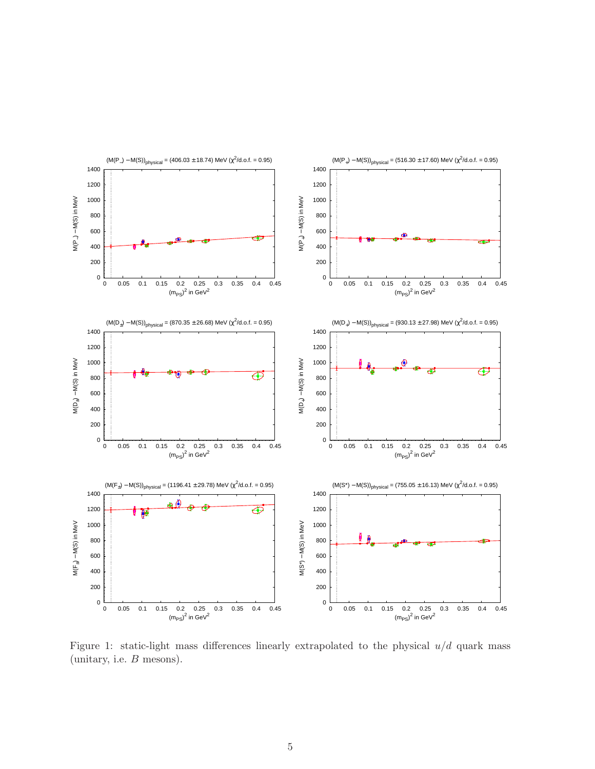

<span id="page-5-0"></span>Figure 1: static-light mass differences linearly extrapolated to the physical  $u/d$  quark mass (unitary, i.e. B mesons).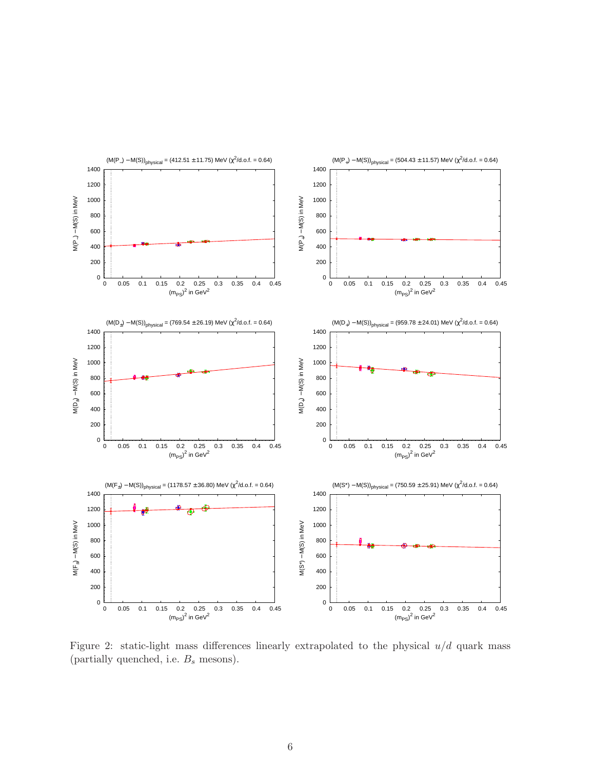

<span id="page-6-0"></span>Figure 2: static-light mass differences linearly extrapolated to the physical  $u/d$  quark mass (partially quenched, i.e.  $B_s$  mesons).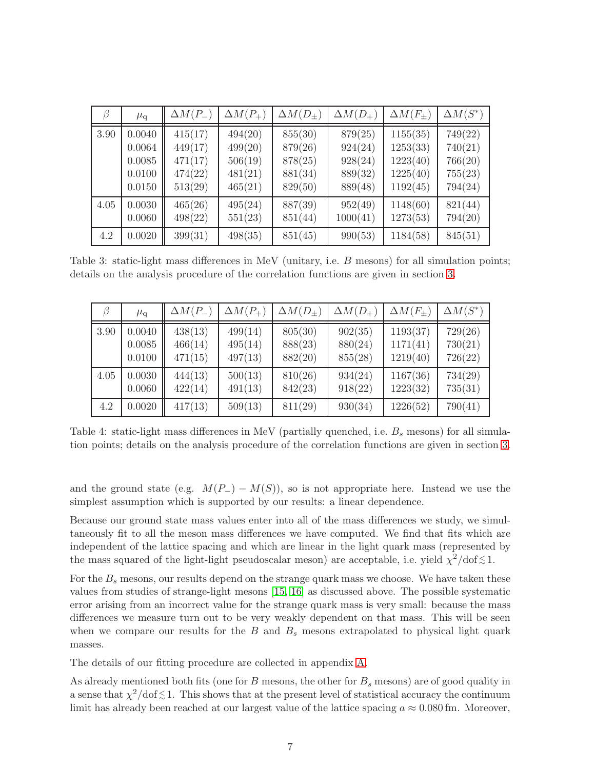| $\beta$     | $\mu_{\rm q}$                                  | $\Delta M(P_{-})$                                   | $\Delta M(P_+)$                                     | $\Delta M(D_{\pm})$                                 | $\Delta M(D_+)$                                     | $\Delta M(F_{\pm})$                                      | $\Delta M(S^*)$                                     |
|-------------|------------------------------------------------|-----------------------------------------------------|-----------------------------------------------------|-----------------------------------------------------|-----------------------------------------------------|----------------------------------------------------------|-----------------------------------------------------|
| 3.90        | 0.0040<br>0.0064<br>0.0085<br>0.0100<br>0.0150 | 415(17)<br>449(17)<br>471(17)<br>474(22)<br>513(29) | 494(20)<br>499(20)<br>506(19)<br>481(21)<br>465(21) | 855(30)<br>879(26)<br>878(25)<br>881(34)<br>829(50) | 879(25)<br>924(24)<br>928(24)<br>889(32)<br>889(48) | 1155(35)<br>1253(33)<br>1223(40)<br>1225(40)<br>1192(45) | 749(22)<br>740(21)<br>766(20)<br>755(23)<br>794(24) |
| 4.05<br>4.2 | 0.0030<br>0.0060<br>0.0020                     | 465(26)<br>498(22)<br>399(31)                       | 495(24)<br>551(23)<br>498(35)                       | 887(39)<br>851(44)<br>851(45)                       | 952(49)<br>1000(41)<br>990(53)                      | 1148(60)<br>1273(53)<br>1184(58)                         | 821(44)<br>794(20)<br>845(51)                       |

Table 3: static-light mass differences in MeV (unitary, i.e. B mesons) for all simulation points; details on the analysis procedure of the correlation functions are given in section [3.](#page-3-1)

<span id="page-7-0"></span>

| 13   | $\mu_{\rm q}$ | $\Delta M(P_{-})$ | $\Delta M(P_+)$ | $\Delta M(D_+)$ | $\Delta M(D_+)$ | $\Delta M(F_{\pm})$ | $\Delta M(S^*)$ |
|------|---------------|-------------------|-----------------|-----------------|-----------------|---------------------|-----------------|
| 3.90 | 0.0040        | 438(13)           | 499(14)         | 805(30)         | 902(35)         | 1193(37)            | 729(26)         |
|      | 0.0085        | 466(14)           | 495(14)         | 888(23)         | 880(24)         | 1171(41)            | 730(21)         |
|      | 0.0100        | 471(15)           | 497(13)         | 882(20)         | 855(28)         | 1219(40)            | 726(22)         |
| 4.05 | 0.0030        | 444(13)           | 500(13)         | 810(26)         | 934(24)         | 1167(36)            | 734(29)         |
|      | 0.0060        | 422(14)           | 491(13)         | 842(23)         | 918(22)         | 1223(32)            | 735(31)         |
| 4.2  | 0.0020        | 417(13)           | 509(13)         | 811(29)         | 930(34)         | 1226(52)            | 790(41)         |

<span id="page-7-1"></span>Table 4: static-light mass differences in MeV (partially quenched, i.e.  $B_s$  mesons) for all simulation points; details on the analysis procedure of the correlation functions are given in section [3.](#page-3-1)

and the ground state (e.g.  $M(P_{-}) - M(S)$ ), so is not appropriate here. Instead we use the simplest assumption which is supported by our results: a linear dependence.

Because our ground state mass values enter into all of the mass differences we study, we simultaneously fit to all the meson mass differences we have computed. We find that fits which are independent of the lattice spacing and which are linear in the light quark mass (represented by the mass squared of the light-light pseudoscalar meson) are acceptable, i.e. yield  $\chi^2/\text{dof} \lesssim 1$ .

For the  $B_s$  mesons, our results depend on the strange quark mass we choose. We have taken these values from studies of strange-light mesons [\[15,](#page-16-9) [16\]](#page-16-10) as discussed above. The possible systematic error arising from an incorrect value for the strange quark mass is very small: because the mass differences we measure turn out to be very weakly dependent on that mass. This will be seen when we compare our results for the  $B$  and  $B<sub>s</sub>$  mesons extrapolated to physical light quark masses.

The details of our fitting procedure are collected in appendix [A.](#page-14-0)

As already mentioned both fits (one for  $B$  mesons, the other for  $B_s$  mesons) are of good quality in a sense that  $\chi^2/\text{dof} \lesssim 1$ . This shows that at the present level of statistical accuracy the continuum limit has already been reached at our largest value of the lattice spacing  $a \approx 0.080$  fm. Moreover,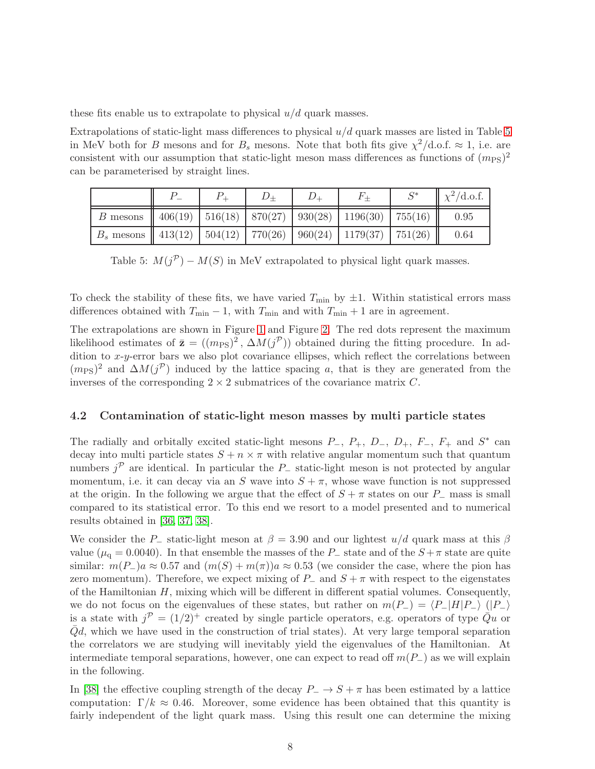these fits enable us to extrapolate to physical  $u/d$  quark masses.

Extrapolations of static-light mass differences to physical  $u/d$  quark masses are listed in Table [5](#page-8-0) in MeV both for B mesons and for  $B_s$  mesons. Note that both fits give  $\chi^2/\text{d.o.f.} \approx 1$ , i.e. are consistent with our assumption that static-light meson mass differences as functions of  $(m_{\text{PS}})^2$ can be parameterised by straight lines.

|                                                                                 |  |  | $F_{+}$ | $\mathsf{C}^*$ | $\chi^2$ /d.o.f. |
|---------------------------------------------------------------------------------|--|--|---------|----------------|------------------|
| B mesons $\parallel$ 406(19)   516(18)   870(27)   930(28)   1196(30)   755(16) |  |  |         |                | 0.95             |
| $B_s$ mesons    413(12)   504(12)   770(26)   960(24)   1179(37)   751(26)      |  |  |         |                | 0.64             |

<span id="page-8-0"></span>Table 5:  $M(j^{\mathcal{P}}) - M(S)$  in MeV extrapolated to physical light quark masses.

To check the stability of these fits, we have varied  $T_{\text{min}}$  by  $\pm 1$ . Within statistical errors mass differences obtained with  $T_{\min} - 1$ , with  $T_{\min}$  and with  $T_{\min} + 1$  are in agreement.

The extrapolations are shown in Figure [1](#page-5-0) and Figure [2.](#page-6-0) The red dots represent the maximum likelihood estimates of  $\bar{\mathbf{z}} = ((m_{\text{PS}})^2, \Delta M(j^{\mathcal{P}}))$  obtained during the fitting procedure. In addition to x-y-error bars we also plot covariance ellipses, which reflect the correlations between  $(m_{\text{PS}})^2$  and  $\Delta M(j^{\mathcal{P}})$  induced by the lattice spacing a, that is they are generated from the inverses of the corresponding  $2 \times 2$  submatrices of the covariance matrix C.

#### 4.2 Contamination of static-light meson masses by multi particle states

The radially and orbitally excited static-light mesons  $P_-, P_+, D_-, D_+, F_-, F_+$  and  $S^*$  can decay into multi particle states  $S + n \times \pi$  with relative angular momentum such that quantum numbers  $j^{\mathcal{P}}$  are identical. In particular the P<sub>-</sub> static-light meson is not protected by angular momentum, i.e. it can decay via an S wave into  $S + \pi$ , whose wave function is not suppressed at the origin. In the following we argue that the effect of  $S + \pi$  states on our P<sub>−</sub> mass is small compared to its statistical error. To this end we resort to a model presented and to numerical results obtained in [\[36,](#page-17-15) [37,](#page-18-0) [38\]](#page-18-1).

We consider the P<sub>-</sub> static-light meson at  $\beta = 3.90$  and our lightest  $u/d$  quark mass at this  $\beta$ value ( $\mu_{q} = 0.0040$ ). In that ensemble the masses of the P<sub>-</sub> state and of the  $S + \pi$  state are quite similar:  $m(P_{-})a \approx 0.57$  and  $(m(S) + m(\pi))a \approx 0.53$  (we consider the case, where the pion has zero momentum). Therefore, we expect mixing of  $P_$  and  $S + \pi$  with respect to the eigenstates of the Hamiltonian  $H$ , mixing which will be different in different spatial volumes. Consequently, we do not focus on the eigenvalues of these states, but rather on  $m(P_{-}) = \langle P_{-}|H|P_{-}\rangle$  ( $|P_{-}\rangle$ ) is a state with  $j^{\mathcal{P}} = (1/2)^+$  created by single particle operators, e.g. operators of type  $\overline{Q}u$  or  $\overline{Q}d$ , which we have used in the construction of trial states). At very large temporal separation the correlators we are studying will inevitably yield the eigenvalues of the Hamiltonian. At intermediate temporal separations, however, one can expect to read off  $m(P_-\)$  as we will explain in the following.

In [\[38\]](#page-18-1) the effective coupling strength of the decay  $P_$  →  $S + \pi$  has been estimated by a lattice computation:  $\Gamma/k \approx 0.46$ . Moreover, some evidence has been obtained that this quantity is fairly independent of the light quark mass. Using this result one can determine the mixing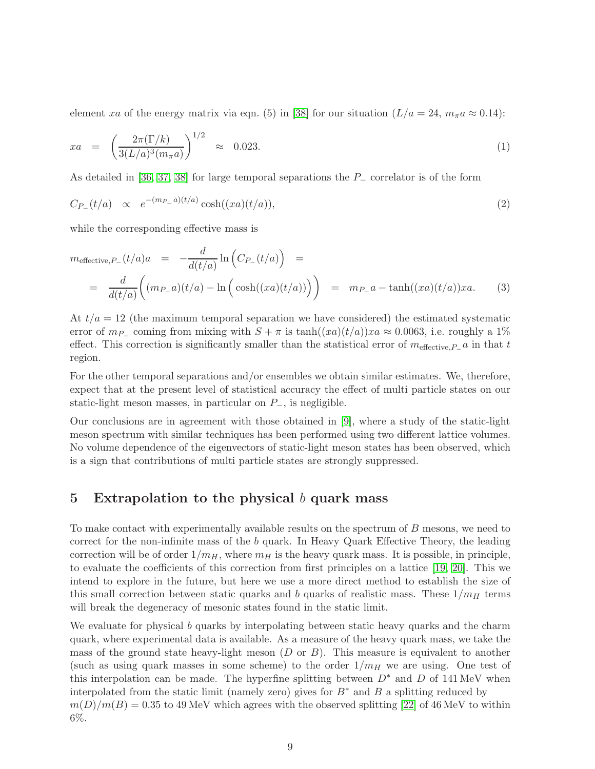element xa of the energy matrix via eqn. (5) in [\[38\]](#page-18-1) for our situation  $(L/a = 24, m<sub>\pi</sub>a \approx 0.14)$ :

$$
xa = \left(\frac{2\pi(\Gamma/k)}{3(L/a)^3(m_{\pi}a)}\right)^{1/2} \approx 0.023.
$$
 (1)

As detailed in [\[36,](#page-17-15) [37,](#page-18-0) [38\]](#page-18-1) for large temporal separations the P− correlator is of the form

$$
C_{P_{-}}(t/a) \propto e^{-(m_{P_{-}}a)(t/a)} \cosh((xa)(t/a)), \tag{2}
$$

while the corresponding effective mass is

$$
m_{\text{effective},P_{-}}(t/a)a = -\frac{d}{d(t/a)}\ln\left(C_{P_{-}}(t/a)\right) =
$$
  
= 
$$
\frac{d}{d(t/a)}\left((m_{P_{-}}a)(t/a) - \ln\left(\cosh((xa)(t/a))\right)\right) = m_{P_{-}}a - \tanh((xa)(t/a))xa.
$$
 (3)

At  $t/a = 12$  (the maximum temporal separation we have considered) the estimated systematic error of  $m_P$  coming from mixing with  $S + \pi$  is tanh $((xa)(t/a))xa \approx 0.0063$ , i.e. roughly a 1% effect. This correction is significantly smaller than the statistical error of  $m_{\text{effective},P_{-}}a$  in that t region.

For the other temporal separations and/or ensembles we obtain similar estimates. We, therefore, expect that at the present level of statistical accuracy the effect of multi particle states on our static-light meson masses, in particular on  $P_$ , is negligible.

Our conclusions are in agreement with those obtained in [\[9\]](#page-16-3), where a study of the static-light meson spectrum with similar techniques has been performed using two different lattice volumes. No volume dependence of the eigenvectors of static-light meson states has been observed, which is a sign that contributions of multi particle states are strongly suppressed.

### 5 Extrapolation to the physical  $b$  quark mass

To make contact with experimentally available results on the spectrum of B mesons, we need to correct for the non-infinite mass of the  $b$  quark. In Heavy Quark Effective Theory, the leading correction will be of order  $1/m_H$ , where  $m_H$  is the heavy quark mass. It is possible, in principle, to evaluate the coefficients of this correction from first principles on a lattice [\[19,](#page-16-13) [20\]](#page-16-14). This we intend to explore in the future, but here we use a more direct method to establish the size of this small correction between static quarks and b quarks of realistic mass. These  $1/m_H$  terms will break the degeneracy of mesonic states found in the static limit.

We evaluate for physical b quarks by interpolating between static heavy quarks and the charm quark, where experimental data is available. As a measure of the heavy quark mass, we take the mass of the ground state heavy-light meson  $(D \text{ or } B)$ . This measure is equivalent to another (such as using quark masses in some scheme) to the order  $1/m_H$  we are using. One test of this interpolation can be made. The hyperfine splitting between  $D^*$  and D of 141 MeV when interpolated from the static limit (namely zero) gives for  $B^*$  and B a splitting reduced by  $m(D)/m(B) = 0.35$  to 49 MeV which agrees with the observed splitting [\[22\]](#page-17-1) of 46 MeV to within 6%.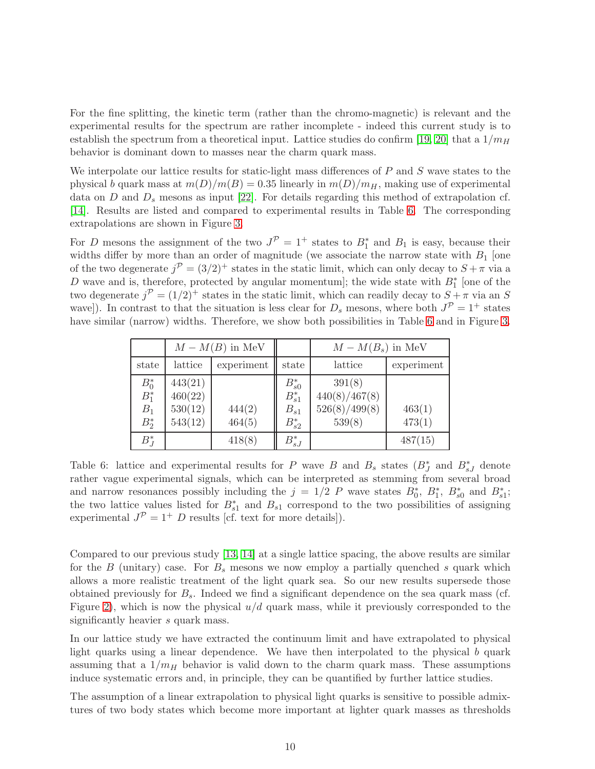For the fine splitting, the kinetic term (rather than the chromo-magnetic) is relevant and the experimental results for the spectrum are rather incomplete - indeed this current study is to establish the spectrum from a theoretical input. Lattice studies do confirm [\[19,](#page-16-13) [20\]](#page-16-14) that a  $1/m_H$ behavior is dominant down to masses near the charm quark mass.

We interpolate our lattice results for static-light mass differences of P and S wave states to the physical b quark mass at  $m(D)/m(B) = 0.35$  linearly in  $m(D)/m_H$ , making use of experimental data on  $D$  and  $D<sub>s</sub>$  mesons as input [\[22\]](#page-17-1). For details regarding this method of extrapolation cf. [\[14\]](#page-16-8). Results are listed and compared to experimental results in Table [6.](#page-10-0) The corresponding extrapolations are shown in Figure [3.](#page-11-0)

For D mesons the assignment of the two  $J^{\mathcal{P}} = 1^+$  states to  $B_1^*$  and  $B_1$  is easy, because their widths differ by more than an order of magnitude (we associate the narrow state with  $B_1$  [one of the two degenerate  $j^{\mathcal{P}} = (3/2)^{+}$  states in the static limit, which can only decay to  $S + \pi$  via a D wave and is, therefore, protected by angular momentum]; the wide state with  $B_1^*$  [one of the two degenerate  $j^{\mathcal{P}} = (1/2)^{+}$  states in the static limit, which can readily decay to  $S + \pi$  via an S wave]). In contrast to that the situation is less clear for  $D_s$  mesons, where both  $J^{\mathcal{P}} = 1^+$  states have similar (narrow) widths. Therefore, we show both possibilities in Table [6](#page-10-0) and in Figure [3.](#page-11-0)

|                                        |                                          | $M-M(B)$ in MeV  |                                                    | $M-M(B_s)$ in MeV                                  |                  |  |
|----------------------------------------|------------------------------------------|------------------|----------------------------------------------------|----------------------------------------------------|------------------|--|
| state                                  | lattice<br>experiment                    |                  | state                                              | lattice                                            | experiment       |  |
| $B_0^*$<br>$B_1^*$<br>$B_1$<br>$B_2^*$ | 443(21)<br>460(22)<br>530(12)<br>543(12) | 444(2)<br>464(5) | $B_{s0}^*$<br>$B_{s1}^*$<br>$B_{s1}$<br>$B_{s2}^*$ | 391(8)<br>440(8)/467(8)<br>526(8)/499(8)<br>539(8) | 463(1)<br>473(1) |  |
| $B_J^*$                                |                                          | 418(8)           | $B_{sJ}^*$                                         |                                                    | 487(15)          |  |

<span id="page-10-0"></span>Table 6: lattice and experimental results for P wave B and  $B_s$  states  $(B_J^*)$  and  $B_{sJ}^*$  denote rather vague experimental signals, which can be interpreted as stemming from several broad and narrow resonances possibly including the  $j = 1/2$  P wave states  $B_0^*, B_1^*, B_{s0}^*$  and  $B_{s1}^*$ ; the two lattice values listed for  $B_{s1}^*$  and  $B_{s1}$  correspond to the two possibilities of assigning experimental  $J^{\mathcal{P}} = 1^+ D$  results [cf. text for more details]).

Compared to our previous study [\[13,](#page-16-7) [14\]](#page-16-8) at a single lattice spacing, the above results are similar for the B (unitary) case. For  $B_s$  mesons we now employ a partially quenched s quark which allows a more realistic treatment of the light quark sea. So our new results supersede those obtained previously for  $B_s$ . Indeed we find a significant dependence on the sea quark mass (cf. Figure [2\)](#page-6-0), which is now the physical  $u/d$  quark mass, while it previously corresponded to the significantly heavier s quark mass.

In our lattice study we have extracted the continuum limit and have extrapolated to physical light quarks using a linear dependence. We have then interpolated to the physical b quark assuming that a  $1/m_H$  behavior is valid down to the charm quark mass. These assumptions induce systematic errors and, in principle, they can be quantified by further lattice studies.

The assumption of a linear extrapolation to physical light quarks is sensitive to possible admixtures of two body states which become more important at lighter quark masses as thresholds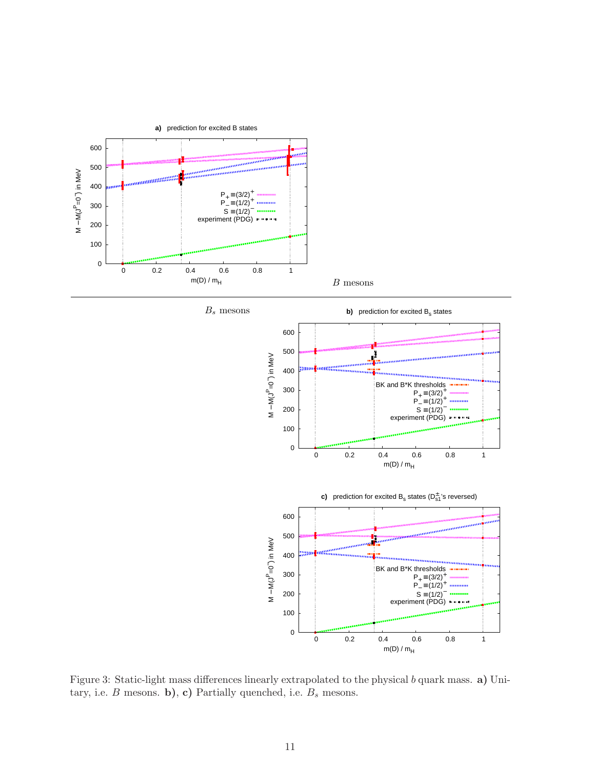

 $B_s$  mesons





<span id="page-11-0"></span>Figure 3: Static-light mass differences linearly extrapolated to the physical b quark mass. a) Unitary, i.e.  $B$  mesons. b), c) Partially quenched, i.e.  $B_s$  mesons.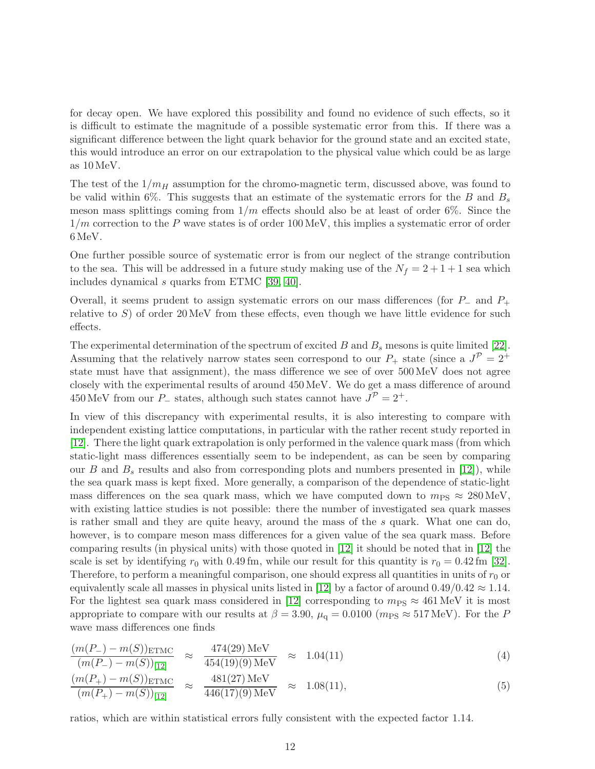for decay open. We have explored this possibility and found no evidence of such effects, so it is difficult to estimate the magnitude of a possible systematic error from this. If there was a significant difference between the light quark behavior for the ground state and an excited state, this would introduce an error on our extrapolation to the physical value which could be as large as 10 MeV.

The test of the  $1/m_H$  assumption for the chromo-magnetic term, discussed above, was found to be valid within 6%. This suggests that an estimate of the systematic errors for the B and  $B_s$ meson mass splittings coming from  $1/m$  effects should also be at least of order 6%. Since the  $1/m$  correction to the P wave states is of order 100 MeV, this implies a systematic error of order 6 MeV.

One further possible source of systematic error is from our neglect of the strange contribution to the sea. This will be addressed in a future study making use of the  $N_f = 2 + 1 + 1$  sea which includes dynamical s quarks from ETMC [\[39,](#page-18-2) [40\]](#page-18-3).

Overall, it seems prudent to assign systematic errors on our mass differences (for  $P_-\$  and  $P_+\$ relative to  $S$ ) of order  $20 \,\text{MeV}$  from these effects, even though we have little evidence for such effects.

The experimental determination of the spectrum of excited  $B$  and  $B_s$  mesons is quite limited [\[22\]](#page-17-1). Assuming that the relatively narrow states seen correspond to our  $P_+$  state (since a  $J^{\mathcal{P}} = 2^+$ state must have that assignment), the mass difference we see of over 500 MeV does not agree closely with the experimental results of around 450 MeV. We do get a mass difference of around 450 MeV from our  $P_$  states, although such states cannot have  $J^{\mathcal{P}} = 2^+$ .

In view of this discrepancy with experimental results, it is also interesting to compare with independent existing lattice computations, in particular with the rather recent study reported in [\[12\]](#page-16-6). There the light quark extrapolation is only performed in the valence quark mass (from which static-light mass differences essentially seem to be independent, as can be seen by comparing our B and  $B_s$  results and also from corresponding plots and numbers presented in [\[12\]](#page-16-6)), while the sea quark mass is kept fixed. More generally, a comparison of the dependence of static-light mass differences on the sea quark mass, which we have computed down to  $m_{PS} \approx 280 \text{ MeV}$ , with existing lattice studies is not possible: there the number of investigated sea quark masses is rather small and they are quite heavy, around the mass of the s quark. What one can do, however, is to compare meson mass differences for a given value of the sea quark mass. Before comparing results (in physical units) with those quoted in [\[12\]](#page-16-6) it should be noted that in [\[12\]](#page-16-6) the scale is set by identifying  $r_0$  with 0.49 fm, while our result for this quantity is  $r_0 = 0.42$  fm [\[32\]](#page-17-11). Therefore, to perform a meaningful comparison, one should express all quantities in units of  $r_0$  or equivalently scale all masses in physical units listed in [\[12\]](#page-16-6) by a factor of around  $0.49/0.42 \approx 1.14$ . For the lightest sea quark mass considered in [\[12\]](#page-16-6) corresponding to  $m_{\text{PS}} \approx 461 \text{ MeV}$  it is most appropriate to compare with our results at  $\beta = 3.90$ ,  $\mu_{q} = 0.0100$  ( $m_{PS} \approx 517$  MeV). For the P wave mass differences one finds

$$
\frac{(m(P_{-}) - m(S))_{\text{ETMC}}}{(m(P_{-}) - m(S))_{[12]}} \approx \frac{474(29) \text{ MeV}}{454(19)(9) \text{ MeV}} \approx 1.04(11)
$$
\n(4)

$$
\frac{(m(P_{+}) - m(S))_{\text{ETMC}}}{(m(P_{+}) - m(S))_{[12]}} \approx \frac{481(27) \text{ MeV}}{446(17)(9) \text{ MeV}} \approx 1.08(11),
$$
\n(5)

ratios, which are within statistical errors fully consistent with the expected factor 1.14.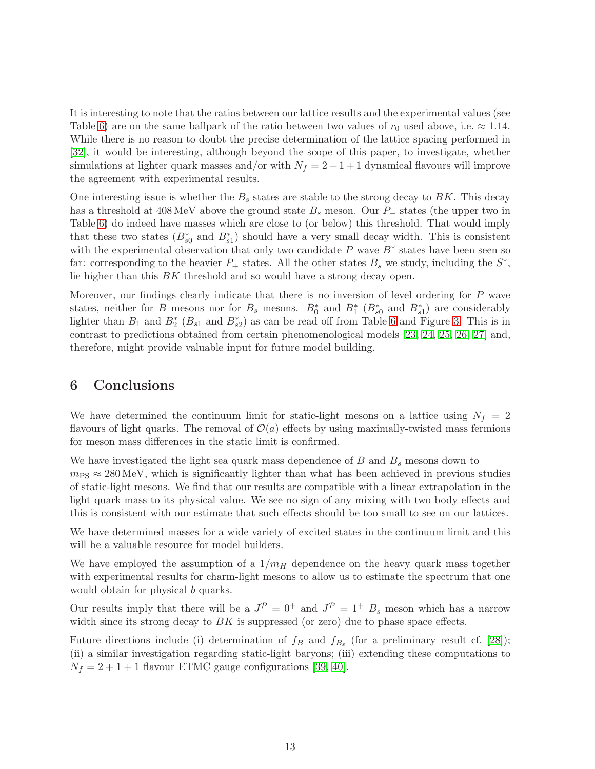It is interesting to note that the ratios between our lattice results and the experimental values (see Table [6\)](#page-10-0) are on the same ballpark of the ratio between two values of  $r_0$  used above, i.e.  $\approx 1.14$ . While there is no reason to doubt the precise determination of the lattice spacing performed in [\[32\]](#page-17-11), it would be interesting, although beyond the scope of this paper, to investigate, whether simulations at lighter quark masses and/or with  $N_f = 2 + 1 + 1$  dynamical flavours will improve the agreement with experimental results.

One interesting issue is whether the  $B_s$  states are stable to the strong decay to  $BK$ . This decay has a threshold at 408 MeV above the ground state  $B_s$  meson. Our P<sub>−</sub> states (the upper two in Table [6\)](#page-10-0) do indeed have masses which are close to (or below) this threshold. That would imply that these two states  $(B_{s0}^*$  and  $B_{s1}^*)$  should have a very small decay width. This is consistent with the experimental observation that only two candidate P wave  $B^*$  states have been seen so far: corresponding to the heavier  $P_+$  states. All the other states  $B_s$  we study, including the  $S^*$ , lie higher than this BK threshold and so would have a strong decay open.

Moreover, our findings clearly indicate that there is no inversion of level ordering for P wave states, neither for B mesons nor for  $B_s$  mesons.  $B_0^*$  and  $B_1^*$  ( $B_{s0}^*$  and  $B_{s1}^*$ ) are considerably lighter than  $B_1$  and  $B_2^*$  ( $B_{s1}$  and  $B_{s2}^*$ ) as can be read off from Table [6](#page-10-0) and Figure [3.](#page-11-0) This is in contrast to predictions obtained from certain phenomenological models [\[23,](#page-17-2) [24,](#page-17-3) [25,](#page-17-4) [26,](#page-17-5) [27\]](#page-17-6) and, therefore, might provide valuable input for future model building.

### 6 Conclusions

We have determined the continuum limit for static-light mesons on a lattice using  $N_f = 2$ flavours of light quarks. The removal of  $\mathcal{O}(a)$  effects by using maximally-twisted mass fermions for meson mass differences in the static limit is confirmed.

We have investigated the light sea quark mass dependence of  $B$  and  $B<sub>s</sub>$  mesons down to  $m_{\text{PS}} \approx 280 \text{ MeV}$ , which is significantly lighter than what has been achieved in previous studies of static-light mesons. We find that our results are compatible with a linear extrapolation in the light quark mass to its physical value. We see no sign of any mixing with two body effects and this is consistent with our estimate that such effects should be too small to see on our lattices.

We have determined masses for a wide variety of excited states in the continuum limit and this will be a valuable resource for model builders.

We have employed the assumption of a  $1/m_H$  dependence on the heavy quark mass together with experimental results for charm-light mesons to allow us to estimate the spectrum that one would obtain for physical b quarks.

Our results imply that there will be a  $J^{\mathcal{P}} = 0^+$  and  $J^{\mathcal{P}} = 1^+$   $B_s$  meson which has a narrow width since its strong decay to  $BK$  is suppressed (or zero) due to phase space effects.

Future directions include (i) determination of  $f_B$  and  $f_{B_s}$  (for a preliminary result cf. [\[28\]](#page-17-7)); (ii) a similar investigation regarding static-light baryons; (iii) extending these computations to  $N_f = 2 + 1 + 1$  flavour ETMC gauge configurations [\[39,](#page-18-2) [40\]](#page-18-3).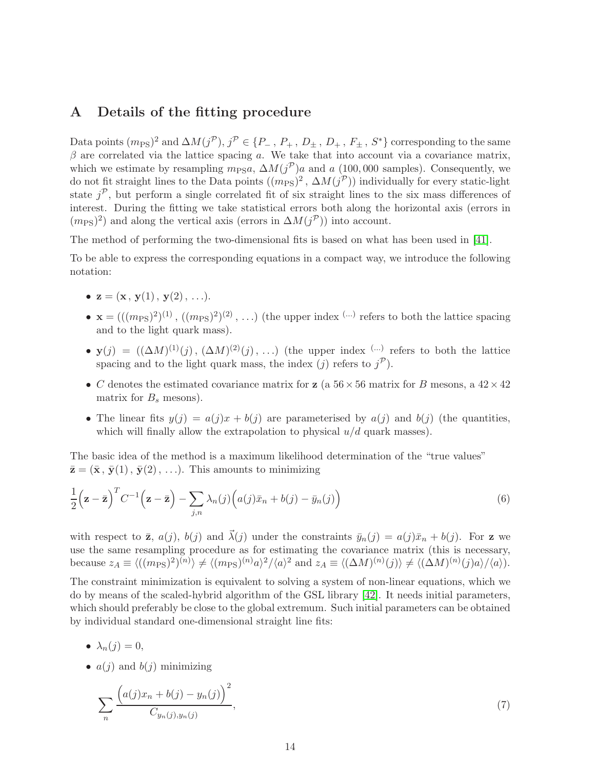### <span id="page-14-0"></span>A Details of the fitting procedure

Data points  $(m_{\text{PS}})^2$  and  $\Delta M(j^{\mathcal{P}}), j^{\mathcal{P}} \in \{P_-, P_+, D_\pm, D_+, F_\pm, S^*\}$  corresponding to the same  $\beta$  are correlated via the lattice spacing a. We take that into account via a covariance matrix, which we estimate by resampling  $m_{PS}a$ ,  $\Delta M(j^{\mathcal{P}})a$  and a (100,000 samples). Consequently, we do not fit straight lines to the Data points  $((m_{PS})^2, \Delta M(j^{\mathcal{P}}))$  individually for every static-light state  $j^{\mathcal{P}}$ , but perform a single correlated fit of six straight lines to the six mass differences of interest. During the fitting we take statistical errors both along the horizontal axis (errors in  $(m<sub>PS</sub>)<sup>2</sup>$ ) and along the vertical axis (errors in  $\Delta M(j^{\mathcal{P}})$ ) into account.

The method of performing the two-dimensional fits is based on what has been used in [\[41\]](#page-18-4).

To be able to express the corresponding equations in a compact way, we introduce the following notation:

- $z = (x, y(1), y(2), \ldots).$
- $\mathbf{x} = (((m_{\text{PS}})^2)^{(1)}, ((m_{\text{PS}})^2)^{(2)}, \ldots)$  (the upper index  $(\cdots)$  refers to both the lattice spacing and to the light quark mass).
- $y(j) = ((\Delta M)^{(1)}(j), (\Delta M)^{(2)}(j), ...)$  (the upper index  $(\cdots)$  refers to both the lattice spacing and to the light quark mass, the index (j) refers to  $j^{\mathcal{P}}$ ).
- C denotes the estimated covariance matrix for **z** (a  $56 \times 56$  matrix for B mesons, a  $42 \times 42$ matrix for  $B_s$  mesons).
- The linear fits  $y(j) = a(j)x + b(j)$  are parameterised by  $a(j)$  and  $b(j)$  (the quantities, which will finally allow the extrapolation to physical  $u/d$  quark masses).

The basic idea of the method is a maximum likelihood determination of the "true values"  $\bar{\mathbf{z}} = (\bar{\mathbf{x}}, \bar{\mathbf{y}}(1), \bar{\mathbf{y}}(2), \ldots)$ . This amounts to minimizing

$$
\frac{1}{2}\left(\mathbf{z}-\bar{\mathbf{z}}\right)^{T}C^{-1}\left(\mathbf{z}-\bar{\mathbf{z}}\right)-\sum_{j,n}\lambda_{n}(j)\left(a(j)\bar{x}_{n}+b(j)-\bar{y}_{n}(j)\right)
$$
\n(6)

with respect to  $\bar{z}$ ,  $a(j)$ ,  $b(j)$  and  $\vec{\lambda}(j)$  under the constraints  $\bar{y}_n(j) = a(j)\bar{x}_n + b(j)$ . For z we use the same resampling procedure as for estimating the covariance matrix (this is necessary, because  $z_A \equiv \langle ((m_{\text{PS}})^2)^{(n)} \rangle \neq \langle (m_{\text{PS}})^{(n)} a \rangle^2 / \langle a \rangle^2$  and  $z_A \equiv \langle (\Delta M)^{(n)}(j) \rangle \neq \langle (\Delta M)^{(n)}(j) a \rangle / \langle a \rangle$ .

The constraint minimization is equivalent to solving a system of non-linear equations, which we do by means of the scaled-hybrid algorithm of the GSL library [\[42\]](#page-18-5). It needs initial parameters, which should preferably be close to the global extremum. Such initial parameters can be obtained by individual standard one-dimensional straight line fits:

- $\lambda_n(j) = 0$ ,
- $a(j)$  and  $b(j)$  minimizing

$$
\sum_{n} \frac{(a(j)x_n + b(j) - y_n(j))^{2}}{C_{y_n(j), y_n(j)}},
$$
\n(7)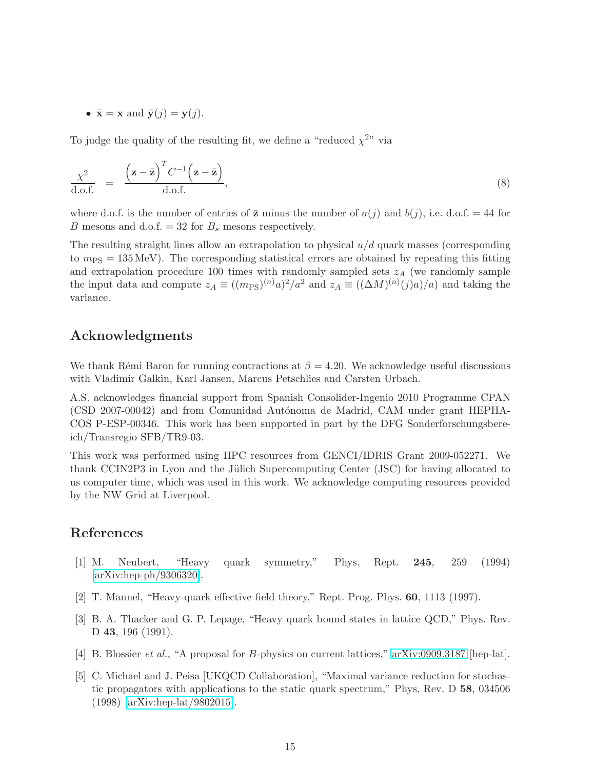•  $\bar{\mathbf{x}} = \mathbf{x}$  and  $\bar{\mathbf{y}}(j) = \mathbf{y}(j)$ .

To judge the quality of the resulting fit, we define a "reduced  $\chi^{2n}$  via

$$
\frac{\chi^2}{\text{d.o.f.}} = \frac{\left(\mathbf{z} - \bar{\mathbf{z}}\right)^T C^{-1} \left(\mathbf{z} - \bar{\mathbf{z}}\right)}{\text{d.o.f.}},\tag{8}
$$

where d.o.f. is the number of entries of  $\bar{z}$  minus the number of  $a(j)$  and  $b(j)$ , i.e. d.o.f. = 44 for B mesons and d.o.f. = 32 for  $B_s$  mesons respectively.

The resulting straight lines allow an extrapolation to physical  $u/d$  quark masses (corresponding to  $m_{PS} = 135 \text{ MeV}$ ). The corresponding statistical errors are obtained by repeating this fitting and extrapolation procedure 100 times with randomly sampled sets  $z_A$  (we randomly sample the input data and compute  $z_A \equiv ((m_{\rm PS})^{(n)} a)^2 / a^2$  and  $z_A \equiv ((\Delta M)^{(n)} (j) a) / a$  and taking the variance.

### Acknowledgments

We thank Rémi Baron for running contractions at  $\beta = 4.20$ . We acknowledge useful discussions with Vladimir Galkin, Karl Jansen, Marcus Petschlies and Carsten Urbach.

A.S. acknowledges financial support from Spanish Consolider-Ingenio 2010 Programme CPAN (CSD 2007-00042) and from Comunidad Autónoma de Madrid, CAM under grant HEPHA-COS P-ESP-00346. This work has been supported in part by the DFG Sonderforschungsbereich/Transregio SFB/TR9-03.

This work was performed using HPC resources from GENCI/IDRIS Grant 2009-052271. We thank CCIN2P3 in Lyon and the Jülich Supercomputing Center (JSC) for having allocated to us computer time, which was used in this work. We acknowledge computing resources provided by the NW Grid at Liverpool.

### <span id="page-15-0"></span>References

- [1] M. Neubert, "Heavy quark symmetry," Phys. Rept. 245, 259 (1994) [\[arXiv:hep-ph/9306320\]](http://arxiv.org/abs/hep-ph/9306320).
- <span id="page-15-2"></span><span id="page-15-1"></span>[2] T. Mannel, "Heavy-quark effective field theory," Rept. Prog. Phys. 60, 1113 (1997).
- [3] B. A. Thacker and G. P. Lepage, "Heavy quark bound states in lattice QCD," Phys. Rev. D 43, 196 (1991).
- <span id="page-15-4"></span><span id="page-15-3"></span>[4] B. Blossier et al., "A proposal for B-physics on current lattices," [arXiv:0909.3187](http://arxiv.org/abs/0909.3187) [hep-lat].
- [5] C. Michael and J. Peisa [UKQCD Collaboration], "Maximal variance reduction for stochastic propagators with applications to the static quark spectrum," Phys. Rev. D 58, 034506 (1998) [\[arXiv:hep-lat/9802015\]](http://arxiv.org/abs/hep-lat/9802015).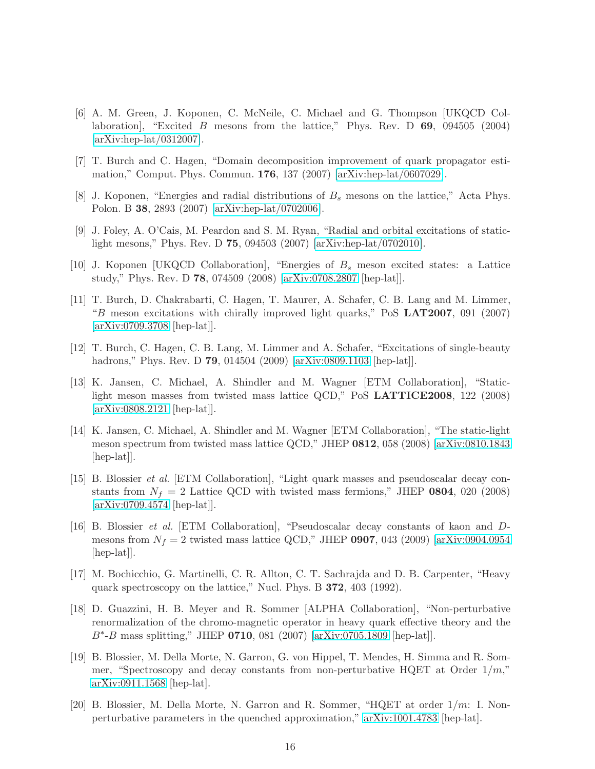- <span id="page-16-0"></span>[6] A. M. Green, J. Koponen, C. McNeile, C. Michael and G. Thompson [UKQCD Collaboration], "Excited B mesons from the lattice," Phys. Rev. D  $69, 094505$  (2004) [\[arXiv:hep-lat/0312007\]](http://arxiv.org/abs/hep-lat/0312007).
- <span id="page-16-2"></span><span id="page-16-1"></span>[7] T. Burch and C. Hagen, "Domain decomposition improvement of quark propagator estimation," Comput. Phys. Commun. 176, 137 (2007) [\[arXiv:hep-lat/0607029\]](http://arxiv.org/abs/hep-lat/0607029).
- <span id="page-16-3"></span>[8] J. Koponen, "Energies and radial distributions of  $B_s$  mesons on the lattice," Acta Phys. Polon. B 38, 2893 (2007) [\[arXiv:hep-lat/0702006\]](http://arxiv.org/abs/hep-lat/0702006).
- [9] J. Foley, A. O'Cais, M. Peardon and S. M. Ryan, "Radial and orbital excitations of staticlight mesons," Phys. Rev. D 75, 094503 (2007) [\[arXiv:hep-lat/0702010\]](http://arxiv.org/abs/hep-lat/0702010).
- <span id="page-16-5"></span><span id="page-16-4"></span>[10] J. Koponen [UKQCD Collaboration], "Energies of  $B_s$  meson excited states: a Lattice study," Phys. Rev. D 78, 074509 (2008) [\[arXiv:0708.2807](http://arxiv.org/abs/0708.2807) [hep-lat]].
- [11] T. Burch, D. Chakrabarti, C. Hagen, T. Maurer, A. Schafer, C. B. Lang and M. Limmer,  $B$  meson excitations with chirally improved light quarks," PoS LAT2007, 091 (2007) [\[arXiv:0709.3708](http://arxiv.org/abs/0709.3708) [hep-lat]].
- <span id="page-16-6"></span>[12] T. Burch, C. Hagen, C. B. Lang, M. Limmer and A. Schafer, "Excitations of single-beauty hadrons," Phys. Rev. D **79**, 014504 (2009) [\[arXiv:0809.1103](http://arxiv.org/abs/0809.1103) [hep-lat]].
- <span id="page-16-7"></span>[13] K. Jansen, C. Michael, A. Shindler and M. Wagner [ETM Collaboration], "Staticlight meson masses from twisted mass lattice QCD," PoS LATTICE2008, 122 (2008) [\[arXiv:0808.2121](http://arxiv.org/abs/0808.2121) [hep-lat]].
- <span id="page-16-8"></span>[14] K. Jansen, C. Michael, A. Shindler and M. Wagner [ETM Collaboration], "The static-light meson spectrum from twisted mass lattice QCD," JHEP 0812, 058 (2008) [\[arXiv:0810.1843](http://arxiv.org/abs/0810.1843) [hep-lat].
- <span id="page-16-9"></span>[15] B. Blossier et al. [ETM Collaboration], "Light quark masses and pseudoscalar decay constants from  $N_f = 2$  Lattice QCD with twisted mass fermions," JHEP 0804, 020 (2008) [\[arXiv:0709.4574](http://arxiv.org/abs/0709.4574) [hep-lat]].
- <span id="page-16-10"></span>[16] B. Blossier et al. [ETM Collaboration], "Pseudoscalar decay constants of kaon and Dmesons from  $N_f = 2$  twisted mass lattice QCD," JHEP 0907, 043 (2009) [\[arXiv:0904.0954](http://arxiv.org/abs/0904.0954)  $\vert$ hep-lat $\vert$ .
- <span id="page-16-11"></span>[17] M. Bochicchio, G. Martinelli, C. R. Allton, C. T. Sachrajda and D. B. Carpenter, "Heavy quark spectroscopy on the lattice," Nucl. Phys. B 372, 403 (1992).
- <span id="page-16-12"></span>[18] D. Guazzini, H. B. Meyer and R. Sommer [ALPHA Collaboration], "Non-perturbative renormalization of the chromo-magnetic operator in heavy quark effective theory and the B∗ -B mass splitting," JHEP 0710, 081 (2007) [\[arXiv:0705.1809](http://arxiv.org/abs/0705.1809) [hep-lat]].
- <span id="page-16-13"></span>[19] B. Blossier, M. Della Morte, N. Garron, G. von Hippel, T. Mendes, H. Simma and R. Sommer, "Spectroscopy and decay constants from non-perturbative HQET at Order  $1/m$ ," [arXiv:0911.1568](http://arxiv.org/abs/0911.1568) [hep-lat].
- <span id="page-16-14"></span>[20] B. Blossier, M. Della Morte, N. Garron and R. Sommer, "HQET at order  $1/m$ : I. Nonperturbative parameters in the quenched approximation," [arXiv:1001.4783](http://arxiv.org/abs/1001.4783) [hep-lat].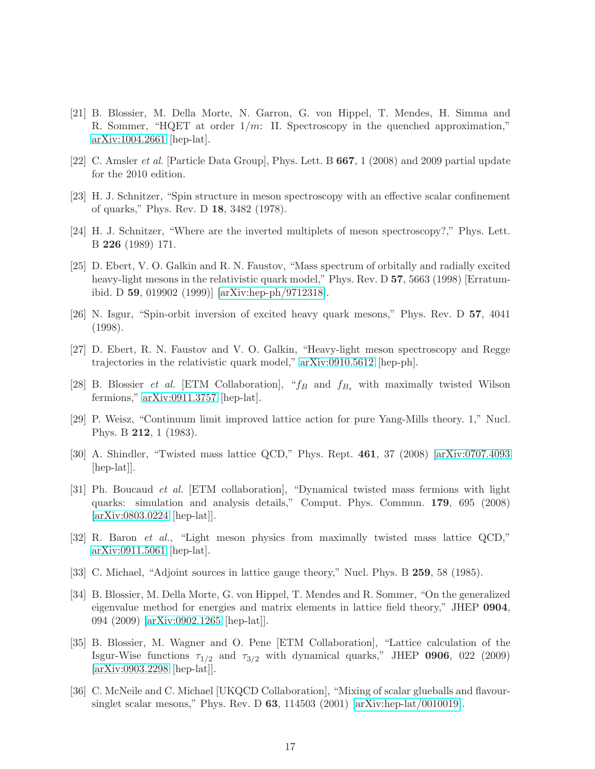- <span id="page-17-0"></span>[21] B. Blossier, M. Della Morte, N. Garron, G. von Hippel, T. Mendes, H. Simma and R. Sommer, "HQET at order  $1/m$ : II. Spectroscopy in the quenched approximation," [arXiv:1004.2661](http://arxiv.org/abs/1004.2661) [hep-lat].
- <span id="page-17-2"></span><span id="page-17-1"></span>[22] C. Amsler et al. [Particle Data Group], Phys. Lett. B 667, 1 (2008) and 2009 partial update for the 2010 edition.
- <span id="page-17-3"></span>[23] H. J. Schnitzer, "Spin structure in meson spectroscopy with an effective scalar confinement of quarks," Phys. Rev. D 18, 3482 (1978).
- <span id="page-17-4"></span>[24] H. J. Schnitzer, "Where are the inverted multiplets of meson spectroscopy?," Phys. Lett. B 226 (1989) 171.
- [25] D. Ebert, V. O. Galkin and R. N. Faustov, "Mass spectrum of orbitally and radially excited heavy-light mesons in the relativistic quark model," Phys. Rev. D 57, 5663 (1998) [Erratumibid. D 59, 019902 (1999)] [\[arXiv:hep-ph/9712318\]](http://arxiv.org/abs/hep-ph/9712318).
- <span id="page-17-6"></span><span id="page-17-5"></span>[26] N. Isgur, "Spin-orbit inversion of excited heavy quark mesons," Phys. Rev. D 57, 4041 (1998).
- [27] D. Ebert, R. N. Faustov and V. O. Galkin, "Heavy-light meson spectroscopy and Regge trajectories in the relativistic quark model," [arXiv:0910.5612](http://arxiv.org/abs/0910.5612) [hep-ph].
- <span id="page-17-7"></span>[28] B. Blossier *et al.* [ETM Collaboration], " $f_B$  and  $f_{B_s}$  with maximally twisted Wilson fermions," [arXiv:0911.3757](http://arxiv.org/abs/0911.3757) [hep-lat].
- <span id="page-17-9"></span><span id="page-17-8"></span>[29] P. Weisz, "Continuum limit improved lattice action for pure Yang-Mills theory. 1," Nucl. Phys. B 212, 1 (1983).
- <span id="page-17-10"></span>[30] A. Shindler, "Twisted mass lattice QCD," Phys. Rept. 461, 37 (2008) [\[arXiv:0707.4093](http://arxiv.org/abs/0707.4093) [hep-lat]].
- [31] Ph. Boucaud et al. [ETM collaboration], "Dynamical twisted mass fermions with light quarks: simulation and analysis details," Comput. Phys. Commun. 179, 695 (2008) [\[arXiv:0803.0224](http://arxiv.org/abs/0803.0224) [hep-lat]].
- <span id="page-17-11"></span>[32] R. Baron et al., "Light meson physics from maximally twisted mass lattice QCD," [arXiv:0911.5061](http://arxiv.org/abs/0911.5061) [hep-lat].
- <span id="page-17-13"></span><span id="page-17-12"></span>[33] C. Michael, "Adjoint sources in lattice gauge theory," Nucl. Phys. B 259, 58 (1985).
- [34] B. Blossier, M. Della Morte, G. von Hippel, T. Mendes and R. Sommer, "On the generalized eigenvalue method for energies and matrix elements in lattice field theory," JHEP 0904, 094 (2009) [\[arXiv:0902.1265](http://arxiv.org/abs/0902.1265) [hep-lat]].
- <span id="page-17-14"></span>[35] B. Blossier, M. Wagner and O. Pene [ETM Collaboration], "Lattice calculation of the Isgur-Wise functions  $\tau_{1/2}$  and  $\tau_{3/2}$  with dynamical quarks," JHEP 0906, 022 (2009) [\[arXiv:0903.2298](http://arxiv.org/abs/0903.2298) [hep-lat]].
- <span id="page-17-15"></span>[36] C. McNeile and C. Michael [UKQCD Collaboration], "Mixing of scalar glueballs and flavoursinglet scalar mesons," Phys. Rev. D  $63$ , 114503 (2001) [\[arXiv:hep-lat/0010019\]](http://arxiv.org/abs/hep-lat/0010019).